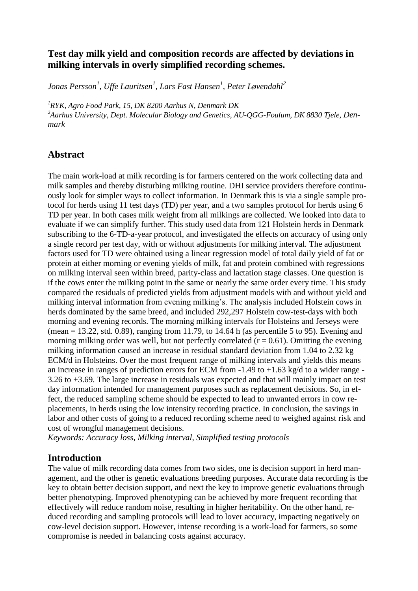# **Test day milk yield and composition records are affected by deviations in milking intervals in overly simplified recording schemes.**

*Jonas Persson<sup>1</sup> , Uffe Lauritsen<sup>1</sup> , Lars Fast Hansen<sup>1</sup> , Peter Løvendahl<sup>2</sup>*

*<sup>1</sup>RYK, Agro Food Park, 15, DK 8200 Aarhus N, Denmark DK* 

<sup>2</sup> Aarhus University, Dept. Molecular Biology and Genetics, AU-OGG-Foulum, DK 8830 Tjele, Den*mark*

# **Abstract**

The main work-load at milk recording is for farmers centered on the work collecting data and milk samples and thereby disturbing milking routine. DHI service providers therefore continuously look for simpler ways to collect information. In Denmark this is via a single sample protocol for herds using 11 test days (TD) per year, and a two samples protocol for herds using 6 TD per year. In both cases milk weight from all milkings are collected. We looked into data to evaluate if we can simplify further. This study used data from 121 Holstein herds in Denmark subscribing to the 6-TD-a-year protocol, and investigated the effects on accuracy of using only a single record per test day, with or without adjustments for milking interval. The adjustment factors used for TD were obtained using a linear regression model of total daily yield of fat or protein at either morning or evening yields of milk, fat and protein combined with regressions on milking interval seen within breed, parity-class and lactation stage classes. One question is if the cows enter the milking point in the same or nearly the same order every time. This study compared the residuals of predicted yields from adjustment models with and without yield and milking interval information from evening milking's. The analysis included Holstein cows in herds dominated by the same breed, and included 292,297 Holstein cow-test-days with both morning and evening records. The morning milking intervals for Holsteins and Jerseys were (mean  $= 13.22$ , std. 0.89), ranging from 11.79, to 14.64 h (as percentile 5 to 95). Evening and morning milking order was well, but not perfectly correlated  $(r = 0.61)$ . Omitting the evening milking information caused an increase in residual standard deviation from 1.04 to 2.32 kg ECM/d in Holsteins. Over the most frequent range of milking intervals and yields this means an increase in ranges of prediction errors for ECM from  $-1.49$  to  $+1.63$  kg/d to a wider range -3.26 to +3.69. The large increase in residuals was expected and that will mainly impact on test day information intended for management purposes such as replacement decisions. So, in effect, the reduced sampling scheme should be expected to lead to unwanted errors in cow replacements, in herds using the low intensity recording practice. In conclusion, the savings in labor and other costs of going to a reduced recording scheme need to weighed against risk and cost of wrongful management decisions.

*Keywords: Accuracy loss, Milking interval, Simplified testing protocols*

## **Introduction**

The value of milk recording data comes from two sides, one is decision support in herd management, and the other is genetic evaluations breeding purposes. Accurate data recording is the key to obtain better decision support, and next the key to improve genetic evaluations through better phenotyping. Improved phenotyping can be achieved by more frequent recording that effectively will reduce random noise, resulting in higher heritability. On the other hand, reduced recording and sampling protocols will lead to lover accuracy, impacting negatively on cow-level decision support. However, intense recording is a work-load for farmers, so some compromise is needed in balancing costs against accuracy.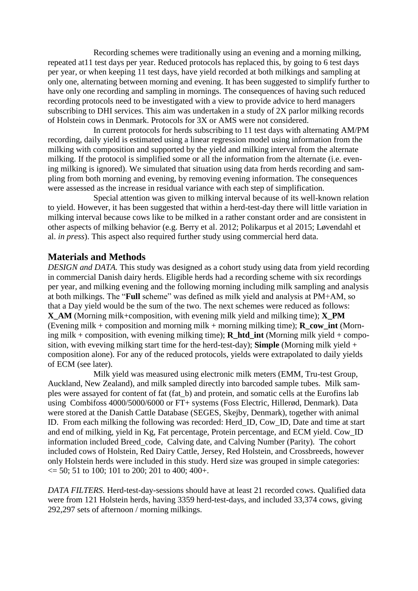Recording schemes were traditionally using an evening and a morning milking, repeated at11 test days per year. Reduced protocols has replaced this, by going to 6 test days per year, or when keeping 11 test days, have yield recorded at both milkings and sampling at only one, alternating between morning and evening. It has been suggested to simplify further to have only one recording and sampling in mornings. The consequences of having such reduced recording protocols need to be investigated with a view to provide advice to herd managers subscribing to DHI services. This aim was undertaken in a study of 2X parlor milking records of Holstein cows in Denmark. Protocols for 3X or AMS were not considered.

In current protocols for herds subscribing to 11 test days with alternating AM/PM recording, daily yield is estimated using a linear regression model using information from the milking with composition and supported by the yield and milking interval from the alternate milking. If the protocol is simplified some or all the information from the alternate (i.e. evening milking is ignored). We simulated that situation using data from herds recording and sampling from both morning and evening, by removing evening information. The consequences were assessed as the increase in residual variance with each step of simplification.

Special attention was given to milking interval because of its well-known relation to yield. However, it has been suggested that within a herd-test-day there will little variation in milking interval because cows like to be milked in a rather constant order and are consistent in other aspects of milking behavior (e.g. Berry et al. 2012; Polikarpus et al 2015; Løvendahl et al. *in press*). This aspect also required further study using commercial herd data.

### **Materials and Methods**

*DESIGN and DATA.* This study was designed as a cohort study using data from yield recording in commercial Danish dairy herds. Eligible herds had a recording scheme with six recordings per year, and milking evening and the following morning including milk sampling and analysis at both milkings. The "**Full** scheme" was defined as milk yield and analysis at PM+AM, so that a Day yield would be the sum of the two. The next schemes were reduced as follows: **X\_AM** (Morning milk+composition, with evening milk yield and milking time); **X\_PM** (Evening milk + composition and morning milk + morning milking time); **R\_cow\_int** (Morning milk + composition, with evening milking time); **R\_htd\_int** (Morning milk yield + composition, with eveving milking start time for the herd-test-day); **Simple** (Morning milk yield + composition alone). For any of the reduced protocols, yields were extrapolated to daily yields of ECM (see later).

Milk yield was measured using electronic milk meters (EMM, Tru-test Group, Auckland, New Zealand), and milk sampled directly into barcoded sample tubes. Milk samples were assayed for content of fat (fat\_b) and protein, and somatic cells at the Eurofins lab using Combifoss 4000/5000/6000 or FT+ systems (Foss Electric, Hillerød, Denmark). Data were stored at the Danish Cattle Database (SEGES, Skejby, Denmark), together with animal ID. From each milking the following was recorded: Herd\_ID, Cow\_ID, Date and time at start and end of milking, yield in Kg, Fat percentage, Protein percentage, and ECM yield. Cow\_ID information included Breed\_code, Calving date, and Calving Number (Parity). The cohort included cows of Holstein, Red Dairy Cattle, Jersey, Red Holstein, and Crossbreeds, however only Holstein herds were included in this study. Herd size was grouped in simple categories:  $\epsilon$  = 50; 51 to 100; 101 to 200; 201 to 400; 400+.

*DATA FILTERS.* Herd-test-day-sessions should have at least 21 recorded cows. Qualified data were from 121 Holstein herds, having 3359 herd-test-days, and included 33,374 cows, giving 292,297 sets of afternoon / morning milkings.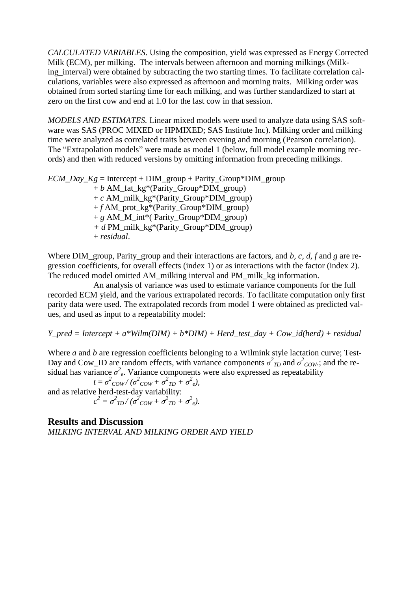*CALCULATED VARIABLES*. Using the composition, yield was expressed as Energy Corrected Milk (ECM), per milking. The intervals between afternoon and morning milkings (Milking\_interval) were obtained by subtracting the two starting times. To facilitate correlation calculations, variables were also expressed as afternoon and morning traits. Milking order was obtained from sorted starting time for each milking, and was further standardized to start at zero on the first cow and end at 1.0 for the last cow in that session.

*MODELS AND ESTIMATES.* Linear mixed models were used to analyze data using SAS software was SAS (PROC MIXED or HPMIXED; SAS Institute Inc). Milking order and milking time were analyzed as correlated traits between evening and morning (Pearson correlation). The "Extrapolation models" were made as model 1 (below, full model example morning records) and then with reduced versions by omitting information from preceding milkings.

 $ECM$   $Day$   $Kg$  = Intercept + DIM\_group + Parity\_Group\*DIM\_group  $+ b$  AM fat kg<sup>\*</sup>(Parity Group<sup>\*</sup>DIM group) + *c* AM\_milk\_kg\*(Parity\_Group\*DIM\_group) + *f* AM\_prot\_kg\*(Parity\_Group\*DIM\_group) + *g* AM\_M\_int\*( Parity\_Group\*DIM\_group) *+ d* PM\_milk\_kg\*(Parity\_Group\*DIM\_group) + *residual*.

Where DIM\_group, Parity\_group and their interactions are factors, and *b, c, d, f* and *g* are regression coefficients, for overall effects (index 1) or as interactions with the factor (index 2). The reduced model omitted AM\_milking interval and PM\_milk\_kg information.

An analysis of variance was used to estimate variance components for the full recorded ECM yield, and the various extrapolated records. To facilitate computation only first parity data were used. The extrapolated records from model 1 were obtained as predicted values, and used as input to a repeatability model:

*Y\_pred = Intercept + a\*Wilm(DIM) + b\*DIM) + Herd\_test\_day + Cow\_id(herd) + residual*

Where *a* and *b* are regression coefficients belonging to a Wilmink style lactation curve; Test-Day and Cow\_ID are random effects, with variance components  $\sigma^2_{ID}$  and  $\sigma^2_{COW}$ ; and the residual has variance  $\sigma^2$ <sub>e</sub>. Variance components were also expressed as repeatability

 $t = \sigma^2_{\text{COW}} / (\sigma^2_{\text{COW}} + \sigma^2_{\text{TD}} + \sigma^2_{\text{e}})$ , and as relative herd-test-day variability:  $c^2 = \sigma^2_{\text{TD}} / (\sigma^2_{\text{COW}} + \sigma^2_{\text{TD}} + \sigma^2_{\text{e}}).$ 

**Results and Discussion** *MILKING INTERVAL AND MILKING ORDER AND YIELD*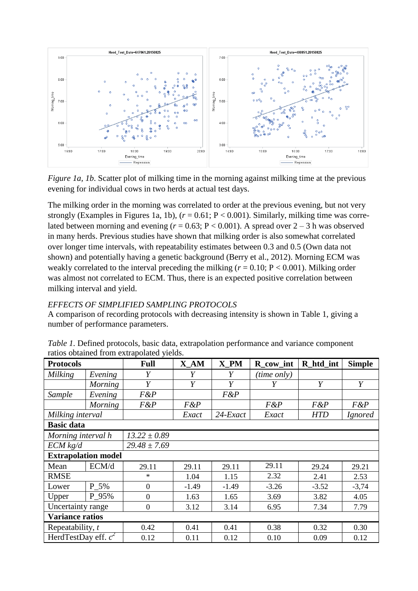

*Figure 1a, 1b.* Scatter plot of milking time in the morning against milking time at the previous evening for individual cows in two herds at actual test days.

The milking order in the morning was correlated to order at the previous evening, but not very strongly (Examples in Figures 1a, 1b), (*r* = 0.61; P < 0.001). Similarly, milking time was correlated between morning and evening  $(r = 0.63; P < 0.001)$ . A spread over  $2 - 3$  h was observed in many herds. Previous studies have shown that milking order is also somewhat correlated over longer time intervals, with repeatability estimates between 0.3 and 0.5 (Own data not shown) and potentially having a genetic background (Berry et al., 2012). Morning ECM was weakly correlated to the interval preceding the milking  $(r = 0.10; P < 0.001)$ . Milking order was almost not correlated to ECM. Thus, there is an expected positive correlation between milking interval and yield.

### *EFFECTS OF SIMPLIFIED SAMPLING PROTOCOLS*

A comparison of recording protocols with decreasing intensity is shown in Table 1, giving a number of performance parameters.

| <b>Protocols</b>           |                | <b>Full</b>      | $X_AM$  | X PM        | R_cow_int   | R htd int  | <b>Simple</b>  |  |
|----------------------------|----------------|------------------|---------|-------------|-------------|------------|----------------|--|
| Milking                    | Evening        | Y                | Y       | Y           | (time only) |            |                |  |
|                            | <b>Morning</b> | Y                | Y       | Y           | Y           | Y          | Y              |  |
| Sample                     | Evening        | F&P              |         | F&P         |             |            |                |  |
|                            | Morning        | $F\&P$           | $F\&P$  |             | F&P         | $F\&P$     | F&P            |  |
| Milking interval           |                |                  | Exact   | $24$ -Exact | Exact       | <b>HTD</b> | <i>Ignored</i> |  |
| <b>Basic data</b>          |                |                  |         |             |             |            |                |  |
| Morning interval h         |                | $13.22 \pm 0.89$ |         |             |             |            |                |  |
| $ECM$ kg/d                 |                | $29.48 \pm 7.69$ |         |             |             |            |                |  |
| <b>Extrapolation model</b> |                |                  |         |             |             |            |                |  |
| Mean                       | ECM/d          | 29.11            | 29.11   | 29.11       | 29.11       | 29.24      | 29.21          |  |
| <b>RMSE</b>                |                | $\ast$           | 1.04    | 1.15        | 2.32        | 2.41       | 2.53           |  |
| Lower                      | P 5%           | $\theta$         | $-1.49$ | $-1.49$     | $-3.26$     | $-3.52$    | $-3,74$        |  |
| Upper                      | P 95%          | $\overline{0}$   | 1.63    | 1.65        | 3.69        | 3.82       | 4.05           |  |
| Uncertainty range          |                | $\overline{0}$   | 3.12    | 3.14        | 6.95        | 7.34       | 7.79           |  |
| <b>Variance ratios</b>     |                |                  |         |             |             |            |                |  |
| Repeatability, t           |                | 0.42             | 0.41    | 0.41        | 0.38        | 0.32       | 0.30           |  |
| HerdTestDay eff. $c^2$     |                | 0.12             | 0.11    | 0.12        | 0.10        | 0.09       | 0.12           |  |

| Table 1. Defined protocols, basic data, extrapolation performance and variance component |  |
|------------------------------------------------------------------------------------------|--|
| ratios obtained from extrapolated yields.                                                |  |